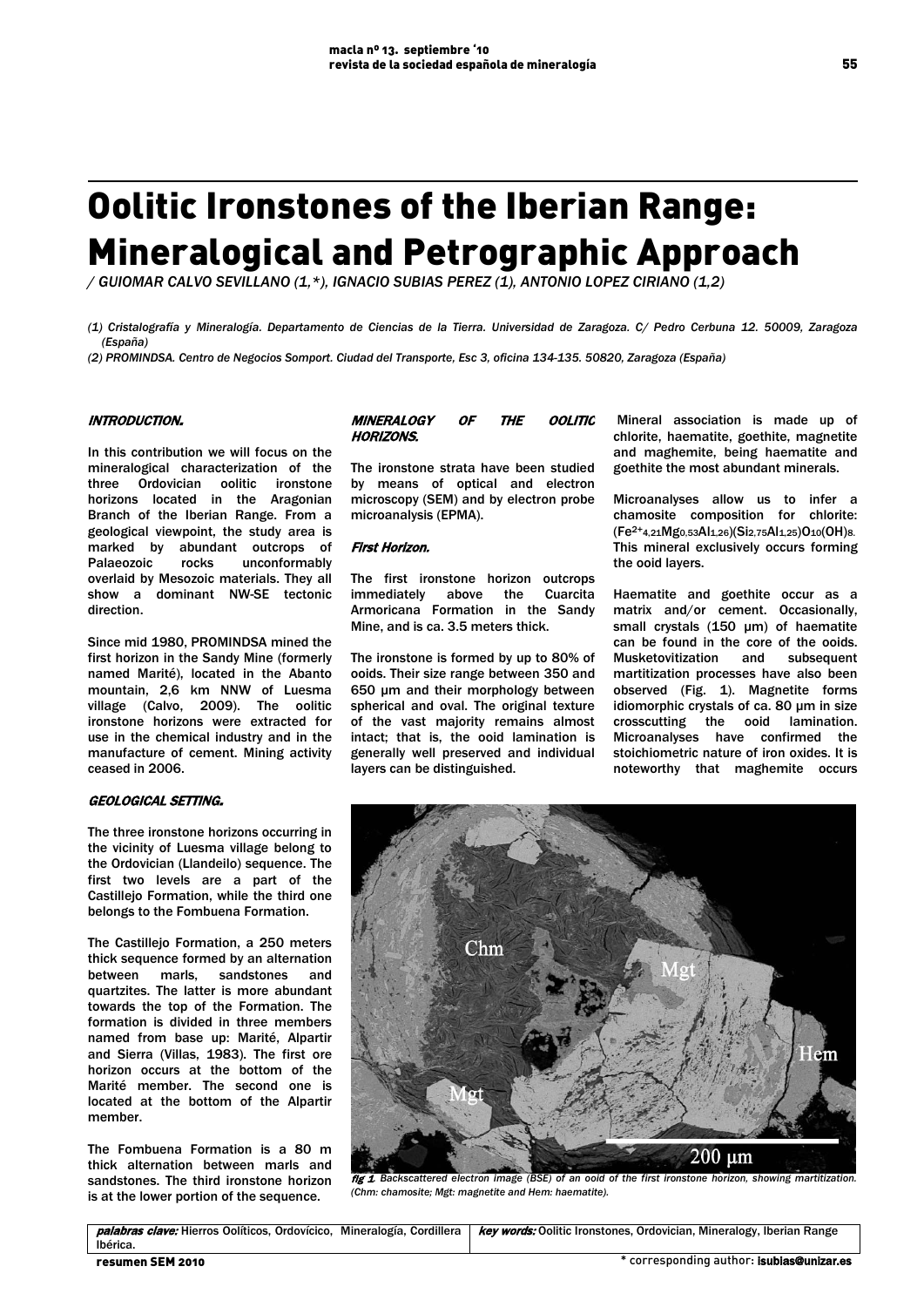# Oolitic Ironstones of the Iberian Range: Mineralogical and Petrographic Approach

*/ GUIOMAR CALVO SEVILLANO (1,\*), IGNACIO SUBIAS PEREZ (1), ANTONIO LOPEZ CIRIANO (1,2)*

*(1) Cristalografía y Mineralogía. Departamento de Ciencias de la Tierra. Universidad de Zaragoza. C/ Pedro Cerbuna 12. 50009, Zaragoza (España)*

*(2) PROMINDSA. Centro de Negocios Somport. Ciudad del Transporte, Esc 3, oficina 134-135. 50820, Zaragoza (España)*

## INTRODUCTION.

In this contribution we will focus on the mineralogical characterization of the three Ordovician oolitic ironstone horizons located in the Aragonian Branch of the Iberian Range. From a geological viewpoint, the study area is marked by abundant outcrops of Palaeozoic rocks unconformably overlaid by Mesozoic materials. They all show a dominant NW-SE tectonic direction.

Since mid 1980, PROMINDSA mined the first horizon in the Sandy Mine (formerly named Marité), located in the Abanto mountain, 2,6 km NNW of Luesma village (Calvo, 2009). The oolitic ironstone horizons were extracted for use in the chemical industry and in the manufacture of cement. Mining activity ceased in 2006.

## GEOLOGICAL SETTING.

The three ironstone horizons occurring in the vicinity of Luesma village belong to the Ordovician (Llandeilo) sequence. The first two levels are a part of the Castillejo Formation, while the third one belongs to the Fombuena Formation.

The Castillejo Formation, a 250 meters thick sequence formed by an alternation between marls, sandstones and quartzites. The latter is more abundant towards the top of the Formation. The formation is divided in three members named from base up: Marité, Alpartir and Sierra (Villas, 1983). The first ore horizon occurs at the bottom of the Marité member. The second one is located at the bottom of the Alpartir member.

The Fombuena Formation is a 80 m thick alternation between marls and sandstones. The third ironstone horizon is at the lower portion of the sequence.

| <i><b>MINERALOGY</b></i> | ΟF | <i>THE</i> | OOLITIC |
|--------------------------|----|------------|---------|
| HORIZONS.                |    |            |         |

The ironstone strata have been studied by means of optical and electron microscopy (SEM) and by electron probe microanalysis (EPMA).

#### First Horizon.

The first ironstone horizon outcrops immediately above the Cuarcita Armoricana Formation in the Sandy Mine, and is ca. 3.5 meters thick.

The ironstone is formed by up to 80% of ooids. Their size range between 350 and 650 μm and their morphology between spherical and oval. The original texture of the vast majority remains almost intact; that is, the ooid lamination is generally well preserved and individual layers can be distinguished.

Mineral association is made up of chlorite, haematite, goethite, magnetite and maghemite, being haematite and goethite the most abundant minerals.

Microanalyses allow us to infer a chamosite composition for chlorite: (Fe2+4,21Mg0,53Al1,26)(Si2,75Al1,25)O10(OH)8. This mineral exclusively occurs forming the ooid layers.

Haematite and goethite occur as a matrix and/or cement. Occasionally, small crystals (150 μm) of haematite can be found in the core of the ooids. Musketovitization and subsequent martitization processes have also been observed (Fig. 1). Magnetite forms idiomorphic crystals of ca. 80 μm in size crosscutting the ooid lamination. Microanalyses have confirmed the stoichiometric nature of iron oxides. It is noteworthy that maghemite occurs



*(Chm: chamosite; Mgt: magnetite and Hem: haematite).*

palabras clave: Hierros Oolíticos, Ordovícico, Mineralogía, Cordillera Ibérica. key words: Oolitic Ironstones, Ordovician, Mineralogy, Iberian Range